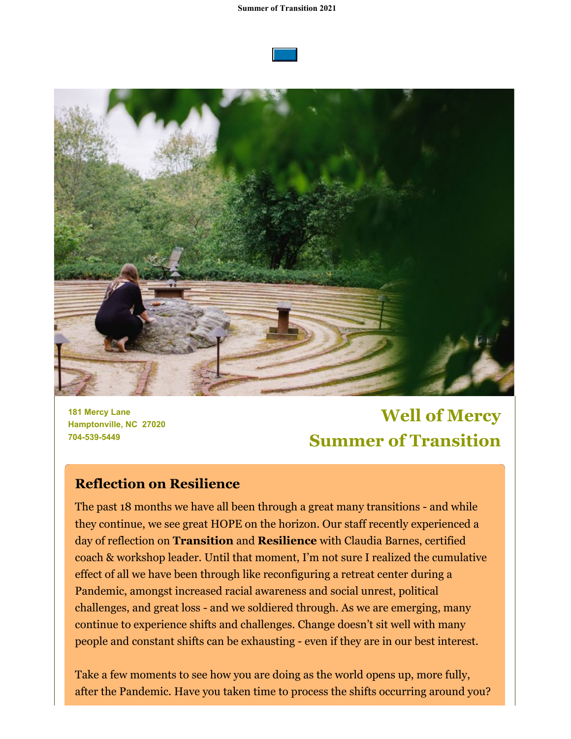#### **Summer of Transition 2021**





**181 Mercy Lane Hamptonville, NC 27020 704-539-5449**

# **Well of Mercy Summer of Transition**

## **Reflection on Resilience**

The past 18 months we have all been through a great many transitions - and while they continue, we see great HOPE on the horizon. Our staff recently experienced a day of reflection on **Transition** and **Resilience** with Claudia Barnes, certified coach & workshop leader. Until that moment, I'm not sure I realized the cumulative effect of all we have been through like reconfiguring a retreat center during a Pandemic, amongst increased racial awareness and social unrest, political challenges, and great loss - and we soldiered through. As we are emerging, many continue to experience shifts and challenges. Change doesn't sit well with many people and constant shifts can be exhausting - even if they are in our best interest.

Take a few moments to see how you are doing as the world opens up, more fully, after the Pandemic. Have you taken time to process the shifts occurring around you?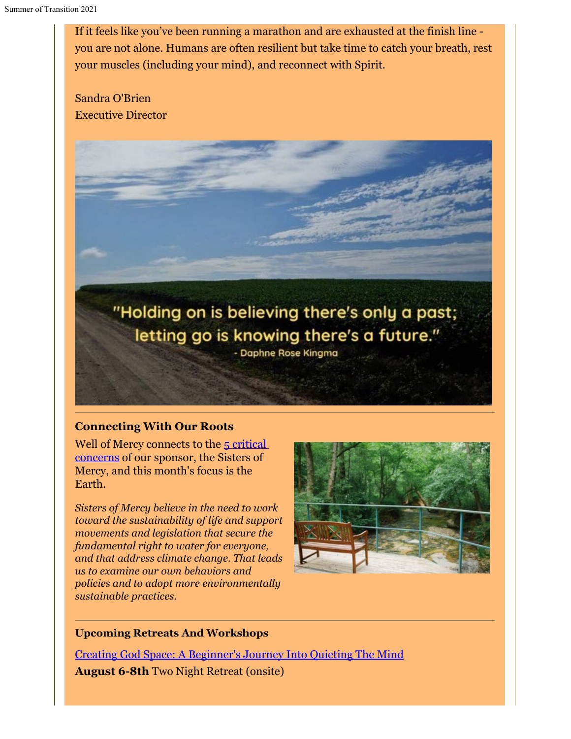If it feels like you've been running a marathon and are exhausted at the finish line you are not alone. Humans are often resilient but take time to catch your breath, rest your muscles (including your mind), and reconnect with Spirit.

Sandra O'Brien Executive Director



### **Connecting With Our Roots**

Well of Mercy connects to the [5 critical](https://www.sistersofmercy.org/files/documents/resources/Justice/CriticalConcerns-1Pger-FINAL.pdf) [concerns](https://www.sistersofmercy.org/files/documents/resources/Justice/CriticalConcerns-1Pger-FINAL.pdf) of our sponsor, the Sisters of Mercy, and this month's focus is the Earth.

*Sisters of Mercy believe in the need to work toward the sustainability of life and support movements and legislation that secure the fundamental right to water for everyone, and that address climate change. That leads us to examine our own behaviors and policies and to adopt more environmentally sustainable practices.* 



### **Upcoming Retreats And Workshops**

[Creating God Space: A Beginner's Journey Into Quieting The Mind](https://wellofmercy.networkforgood.com/events/29417-creating-god-space-a-beginners-journey-into-quieting-the-mind) **August 6-8th** Two Night Retreat (onsite)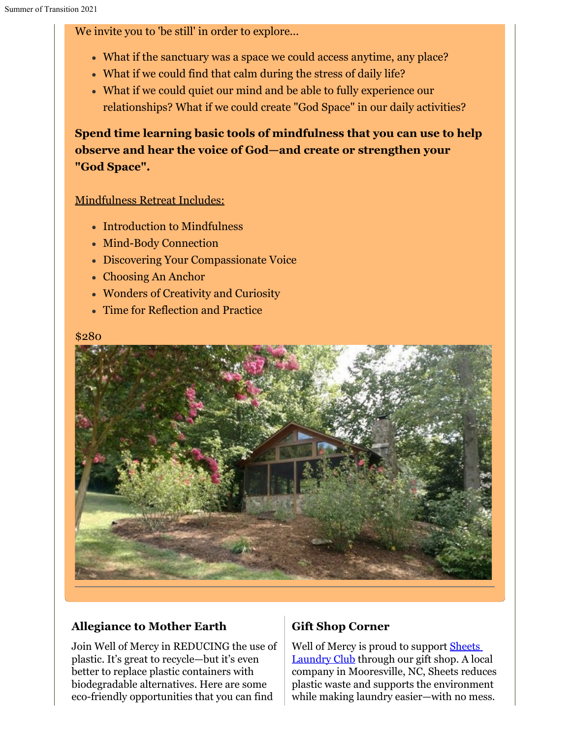We invite you to 'be still' in order to explore...

- What if the sanctuary was a space we could access anytime, any place?
- What if we could find that calm during the stress of daily life?
- What if we could quiet our mind and be able to fully experience our relationships? What if we could create "God Space" in our daily activities?

**Spend time learning basic tools of mindfulness that you can use to help observe and hear the voice of God—and create or strengthen your "God Space".**

## Mindfulness Retreat Includes:

- Introduction to Mindfulness
- Mind-Body Connection
- Discovering Your Compassionate Voice
- Choosing An Anchor
- Wonders of Creativity and Curiosity
- Time for Reflection and Practice

#### \$280



## **Allegiance to Mother Earth**

Join Well of Mercy in REDUCING the use of plastic. It's great to recycle—but it's even better to replace plastic containers with biodegradable alternatives. Here are some eco-friendly opportunities that you can find

## **Gift Shop Corner**

Well of Mercy is proud to support **[Sheets](https://sheetslaundryclub.com/home-copy)** [Laundry Club](https://sheetslaundryclub.com/home-copy) through our gift shop. A local company in Mooresville, NC, Sheets reduces plastic waste and supports the environment while making laundry easier—with no mess.